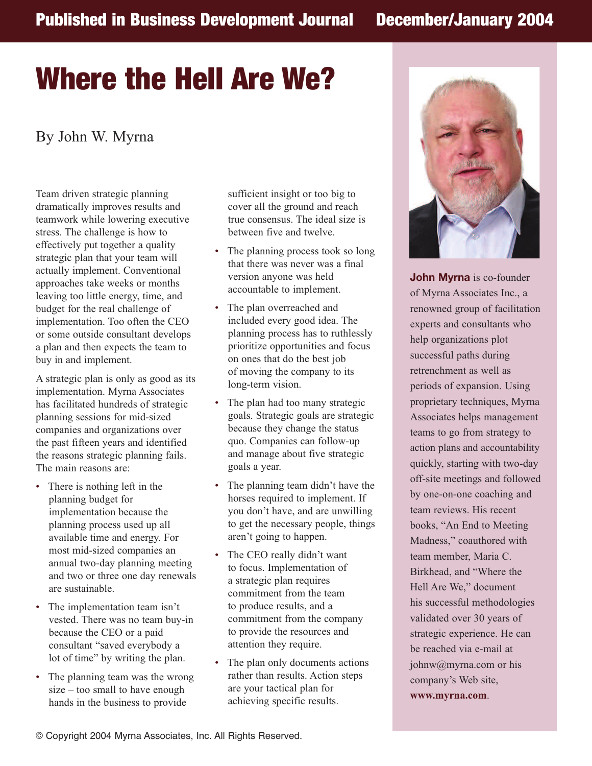## **Where the Hell Are We?**

## By John W. Myrna

Team driven strategic planning dramatically improves results and teamwork while lowering executive stress. The challenge is how to effectively put together a quality strategic plan that your team will actually implement. Conventional approaches take weeks or months leaving too little energy, time, and budget for the real challenge of implementation. Too often the CEO or some outside consultant develops a plan and then expects the team to buy in and implement.

A strategic plan is only as good as its implementation. Myrna Associates has facilitated hundreds of strategic planning sessions for mid-sized companies and organizations over the past fifteen years and identified the reasons strategic planning fails. The main reasons are:

- There is nothing left in the planning budget for implementation because the planning process used up all available time and energy. For most mid-sized companies an annual two-day planning meeting and two or three one day renewals are sustainable.
- The implementation team isn't vested. There was no team buy-in because the CEO or a paid consultant "saved everybody a lot of time" by writing the plan.
- The planning team was the wrong size – too small to have enough hands in the business to provide

sufficient insight or too big to cover all the ground and reach true consensus. The ideal size is between five and twelve.

- The planning process took so long that there was never was a final version anyone was held accountable to implement.
- The plan overreached and included every good idea. The planning process has to ruthlessly prioritize opportunities and focus on ones that do the best job of moving the company to its long-term vision.
- The plan had too many strategic goals. Strategic goals are strategic because they change the status quo. Companies can follow-up and manage about five strategic goals a year.
- The planning team didn't have the horses required to implement. If you don't have, and are unwilling to get the necessary people, things aren't going to happen.
- The CEO really didn't want to focus. Implementation of a strategic plan requires commitment from the team to produce results, and a commitment from the company to provide the resources and attention they require.
- The plan only documents actions rather than results. Action steps are your tactical plan for achieving specific results.



**John Myrna** is co-founder of Myrna Associates Inc., a renowned group of facilitation experts and consultants who help organizations plot successful paths during retrenchment as well as periods of expansion. Using proprietary techniques, Myrna Associates helps management teams to go from strategy to action plans and accountability quickly, starting with two-day off-site meetings and followed by one-on-one coaching and team reviews. His recent books, "An End to Meeting Madness," coauthored with team member, Maria C. Birkhead, and "Where the Hell Are We," document his successful methodologies validated over 30 years of strategic experience. He can be reached via e-mail at johnw@myrna.com or his company's Web site,

**www.myrna.com**.